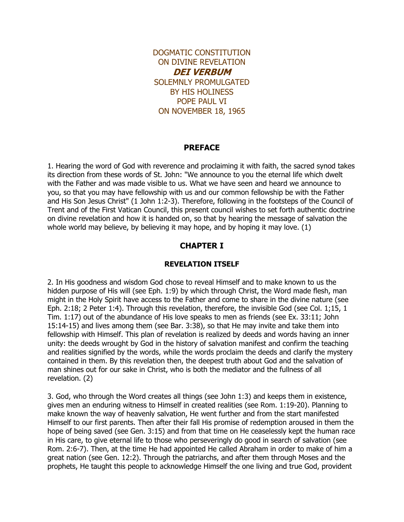## DOGMATIC CONSTITUTION ON DIVINE REVELATION **DEI VERBUM** SOLEMNLY PROMULGATED BY HIS HOLINESS POPE PAUL VI ON NOVEMBER 18, 1965

#### **PREFACE**

1. Hearing the word of God with reverence and proclaiming it with faith, the sacred synod takes its direction from these words of St. John: "We announce to you the eternal life which dwelt with the Father and was made visible to us. What we have seen and heard we announce to you, so that you may have fellowship with us and our common fellowship be with the Father and His Son Jesus Christ" (1 John 1:2-3). Therefore, following in the footsteps of the Council of Trent and of the First Vatican Council, this present council wishes to set forth authentic doctrine on divine revelation and how it is handed on, so that by hearing the message of salvation the whole world may believe, by believing it may hope, and by hoping it may love. (1)

# **CHAPTER I**

#### **REVELATION ITSELF**

2. In His goodness and wisdom God chose to reveal Himself and to make known to us the hidden purpose of His will (see Eph. 1:9) by which through Christ, the Word made flesh, man might in the Holy Spirit have access to the Father and come to share in the divine nature (see Eph. 2:18; 2 Peter 1:4). Through this revelation, therefore, the invisible God (see Col. 1;15, 1 Tim. 1:17) out of the abundance of His love speaks to men as friends (see Ex. 33:11; John 15:14-15) and lives among them (see Bar. 3:38), so that He may invite and take them into fellowship with Himself. This plan of revelation is realized by deeds and words having an inner unity: the deeds wrought by God in the history of salvation manifest and confirm the teaching and realities signified by the words, while the words proclaim the deeds and clarify the mystery contained in them. By this revelation then, the deepest truth about God and the salvation of man shines out for our sake in Christ, who is both the mediator and the fullness of all revelation. (2)

3. God, who through the Word creates all things (see John 1:3) and keeps them in existence, gives men an enduring witness to Himself in created realities (see Rom. 1:19-20). Planning to make known the way of heavenly salvation, He went further and from the start manifested Himself to our first parents. Then after their fall His promise of redemption aroused in them the hope of being saved (see Gen. 3:15) and from that time on He ceaselessly kept the human race in His care, to give eternal life to those who perseveringly do good in search of salvation (see Rom. 2:6-7). Then, at the time He had appointed He called Abraham in order to make of him a great nation (see Gen. 12:2). Through the patriarchs, and after them through Moses and the prophets, He taught this people to acknowledge Himself the one living and true God, provident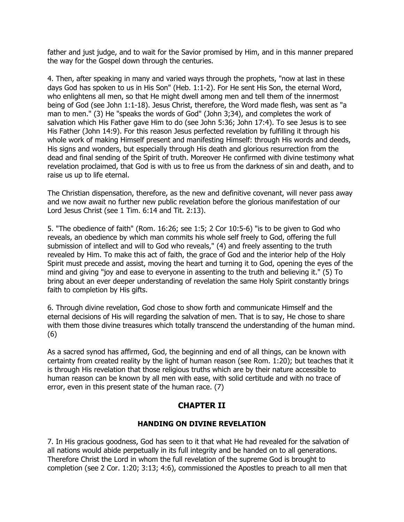father and just judge, and to wait for the Savior promised by Him, and in this manner prepared the way for the Gospel down through the centuries.

4. Then, after speaking in many and varied ways through the prophets, "now at last in these days God has spoken to us in His Son" (Heb. 1:1-2). For He sent His Son, the eternal Word, who enlightens all men, so that He might dwell among men and tell them of the innermost being of God (see John 1:1-18). Jesus Christ, therefore, the Word made flesh, was sent as "a man to men." (3) He "speaks the words of God" (John 3;34), and completes the work of salvation which His Father gave Him to do (see John 5:36; John 17:4). To see Jesus is to see His Father (John 14:9). For this reason Jesus perfected revelation by fulfilling it through his whole work of making Himself present and manifesting Himself: through His words and deeds, His signs and wonders, but especially through His death and glorious resurrection from the dead and final sending of the Spirit of truth. Moreover He confirmed with divine testimony what revelation proclaimed, that God is with us to free us from the darkness of sin and death, and to raise us up to life eternal.

The Christian dispensation, therefore, as the new and definitive covenant, will never pass away and we now await no further new public revelation before the glorious manifestation of our Lord Jesus Christ (see 1 Tim. 6:14 and Tit. 2:13).

5. "The obedience of faith" (Rom. 16:26; see 1:5; 2 Cor 10:5-6) "is to be given to God who reveals, an obedience by which man commits his whole self freely to God, offering the full submission of intellect and will to God who reveals," (4) and freely assenting to the truth revealed by Him. To make this act of faith, the grace of God and the interior help of the Holy Spirit must precede and assist, moving the heart and turning it to God, opening the eyes of the mind and giving "joy and ease to everyone in assenting to the truth and believing it." (5) To bring about an ever deeper understanding of revelation the same Holy Spirit constantly brings faith to completion by His gifts.

6. Through divine revelation, God chose to show forth and communicate Himself and the eternal decisions of His will regarding the salvation of men. That is to say, He chose to share with them those divine treasures which totally transcend the understanding of the human mind. (6)

As a sacred synod has affirmed, God, the beginning and end of all things, can be known with certainty from created reality by the light of human reason (see Rom. 1:20); but teaches that it is through His revelation that those religious truths which are by their nature accessible to human reason can be known by all men with ease, with solid certitude and with no trace of error, even in this present state of the human race. (7)

# **CHAPTER II**

### **HANDING ON DIVINE REVELATION**

7. In His gracious goodness, God has seen to it that what He had revealed for the salvation of all nations would abide perpetually in its full integrity and be handed on to all generations. Therefore Christ the Lord in whom the full revelation of the supreme God is brought to completion (see 2 Cor. 1:20; 3:13; 4:6), commissioned the Apostles to preach to all men that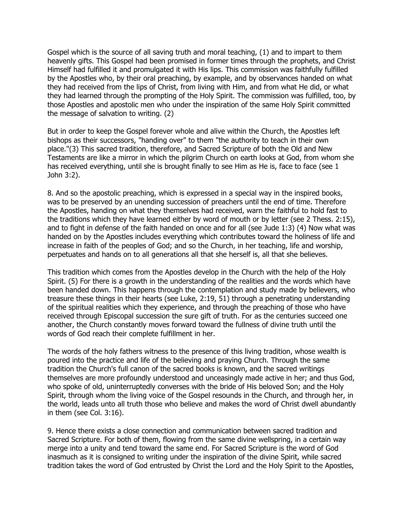Gospel which is the source of all saving truth and moral teaching, (1) and to impart to them heavenly gifts. This Gospel had been promised in former times through the prophets, and Christ Himself had fulfilled it and promulgated it with His lips. This commission was faithfully fulfilled by the Apostles who, by their oral preaching, by example, and by observances handed on what they had received from the lips of Christ, from living with Him, and from what He did, or what they had learned through the prompting of the Holy Spirit. The commission was fulfilled, too, by those Apostles and apostolic men who under the inspiration of the same Holy Spirit committed the message of salvation to writing. (2)

But in order to keep the Gospel forever whole and alive within the Church, the Apostles left bishops as their successors, "handing over" to them "the authority to teach in their own place."(3) This sacred tradition, therefore, and Sacred Scripture of both the Old and New Testaments are like a mirror in which the pilgrim Church on earth looks at God, from whom she has received everything, until she is brought finally to see Him as He is, face to face (see 1) John 3:2).

8. And so the apostolic preaching, which is expressed in a special way in the inspired books, was to be preserved by an unending succession of preachers until the end of time. Therefore the Apostles, handing on what they themselves had received, warn the faithful to hold fast to the traditions which they have learned either by word of mouth or by letter (see 2 Thess. 2:15), and to fight in defense of the faith handed on once and for all (see Jude 1:3) (4) Now what was handed on by the Apostles includes everything which contributes toward the holiness of life and increase in faith of the peoples of God; and so the Church, in her teaching, life and worship, perpetuates and hands on to all generations all that she herself is, all that she believes.

This tradition which comes from the Apostles develop in the Church with the help of the Holy Spirit. (5) For there is a growth in the understanding of the realities and the words which have been handed down. This happens through the contemplation and study made by believers, who treasure these things in their hearts (see Luke, 2:19, 51) through a penetrating understanding of the spiritual realities which they experience, and through the preaching of those who have received through Episcopal succession the sure gift of truth. For as the centuries succeed one another, the Church constantly moves forward toward the fullness of divine truth until the words of God reach their complete fulfillment in her.

The words of the holy fathers witness to the presence of this living tradition, whose wealth is poured into the practice and life of the believing and praying Church. Through the same tradition the Church's full canon of the sacred books is known, and the sacred writings themselves are more profoundly understood and unceasingly made active in her; and thus God, who spoke of old, uninterruptedly converses with the bride of His beloved Son; and the Holy Spirit, through whom the living voice of the Gospel resounds in the Church, and through her, in the world, leads unto all truth those who believe and makes the word of Christ dwell abundantly in them (see Col. 3:16).

9. Hence there exists a close connection and communication between sacred tradition and Sacred Scripture. For both of them, flowing from the same divine wellspring, in a certain way merge into a unity and tend toward the same end. For Sacred Scripture is the word of God inasmuch as it is consigned to writing under the inspiration of the divine Spirit, while sacred tradition takes the word of God entrusted by Christ the Lord and the Holy Spirit to the Apostles,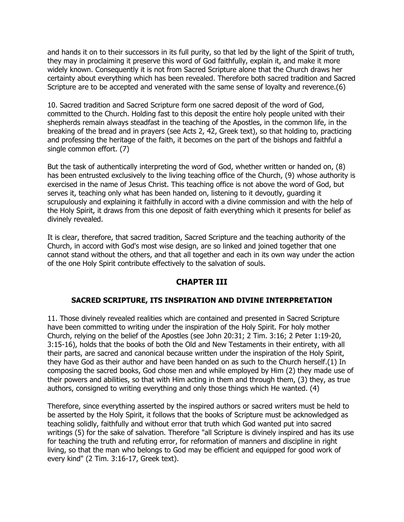and hands it on to their successors in its full purity, so that led by the light of the Spirit of truth, they may in proclaiming it preserve this word of God faithfully, explain it, and make it more widely known. Consequently it is not from Sacred Scripture alone that the Church draws her certainty about everything which has been revealed. Therefore both sacred tradition and Sacred Scripture are to be accepted and venerated with the same sense of loyalty and reverence.(6)

10. Sacred tradition and Sacred Scripture form one sacred deposit of the word of God, committed to the Church. Holding fast to this deposit the entire holy people united with their shepherds remain always steadfast in the teaching of the Apostles, in the common life, in the breaking of the bread and in prayers (see Acts 2, 42, Greek text), so that holding to, practicing and professing the heritage of the faith, it becomes on the part of the bishops and faithful a single common effort. (7)

But the task of authentically interpreting the word of God, whether written or handed on, (8) has been entrusted exclusively to the living teaching office of the Church, (9) whose authority is exercised in the name of Jesus Christ. This teaching office is not above the word of God, but serves it, teaching only what has been handed on, listening to it devoutly, guarding it scrupulously and explaining it faithfully in accord with a divine commission and with the help of the Holy Spirit, it draws from this one deposit of faith everything which it presents for belief as divinely revealed.

It is clear, therefore, that sacred tradition, Sacred Scripture and the teaching authority of the Church, in accord with God's most wise design, are so linked and joined together that one cannot stand without the others, and that all together and each in its own way under the action of the one Holy Spirit contribute effectively to the salvation of souls.

# **CHAPTER III**

### **SACRED SCRIPTURE, ITS INSPIRATION AND DIVINE INTERPRETATION**

11. Those divinely revealed realities which are contained and presented in Sacred Scripture have been committed to writing under the inspiration of the Holy Spirit. For holy mother Church, relying on the belief of the Apostles (see John 20:31; 2 Tim. 3:16; 2 Peter 1:19-20, 3:15-16), holds that the books of both the Old and New Testaments in their entirety, with all their parts, are sacred and canonical because written under the inspiration of the Holy Spirit, they have God as their author and have been handed on as such to the Church herself.(1) In composing the sacred books, God chose men and while employed by Him (2) they made use of their powers and abilities, so that with Him acting in them and through them, (3) they, as true authors, consigned to writing everything and only those things which He wanted. (4)

Therefore, since everything asserted by the inspired authors or sacred writers must be held to be asserted by the Holy Spirit, it follows that the books of Scripture must be acknowledged as teaching solidly, faithfully and without error that truth which God wanted put into sacred writings (5) for the sake of salvation. Therefore "all Scripture is divinely inspired and has its use for teaching the truth and refuting error, for reformation of manners and discipline in right living, so that the man who belongs to God may be efficient and equipped for good work of every kind" (2 Tim. 3:16-17, Greek text).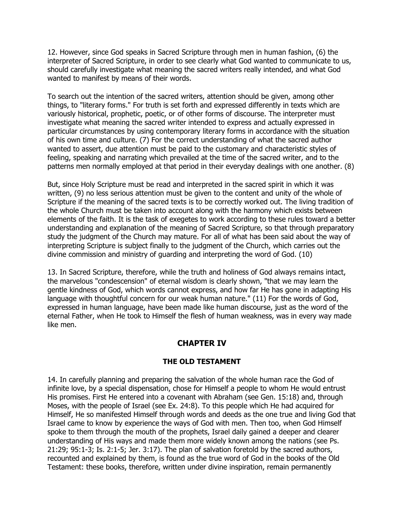12. However, since God speaks in Sacred Scripture through men in human fashion, (6) the interpreter of Sacred Scripture, in order to see clearly what God wanted to communicate to us, should carefully investigate what meaning the sacred writers really intended, and what God wanted to manifest by means of their words.

To search out the intention of the sacred writers, attention should be given, among other things, to "literary forms." For truth is set forth and expressed differently in texts which are variously historical, prophetic, poetic, or of other forms of discourse. The interpreter must investigate what meaning the sacred writer intended to express and actually expressed in particular circumstances by using contemporary literary forms in accordance with the situation of his own time and culture. (7) For the correct understanding of what the sacred author wanted to assert, due attention must be paid to the customary and characteristic styles of feeling, speaking and narrating which prevailed at the time of the sacred writer, and to the patterns men normally employed at that period in their everyday dealings with one another. (8)

But, since Holy Scripture must be read and interpreted in the sacred spirit in which it was written, (9) no less serious attention must be given to the content and unity of the whole of Scripture if the meaning of the sacred texts is to be correctly worked out. The living tradition of the whole Church must be taken into account along with the harmony which exists between elements of the faith. It is the task of exegetes to work according to these rules toward a better understanding and explanation of the meaning of Sacred Scripture, so that through preparatory study the judgment of the Church may mature. For all of what has been said about the way of interpreting Scripture is subject finally to the judgment of the Church, which carries out the divine commission and ministry of guarding and interpreting the word of God. (10)

13. In Sacred Scripture, therefore, while the truth and holiness of God always remains intact, the marvelous "condescension" of eternal wisdom is clearly shown, "that we may learn the gentle kindness of God, which words cannot express, and how far He has gone in adapting His language with thoughtful concern for our weak human nature." (11) For the words of God, expressed in human language, have been made like human discourse, just as the word of the eternal Father, when He took to Himself the flesh of human weakness, was in every way made like men.

### **CHAPTER IV**

### **THE OLD TESTAMENT**

14. In carefully planning and preparing the salvation of the whole human race the God of infinite love, by a special dispensation, chose for Himself a people to whom He would entrust His promises. First He entered into a covenant with Abraham (see Gen. 15:18) and, through Moses, with the people of Israel (see Ex. 24:8). To this people which He had acquired for Himself, He so manifested Himself through words and deeds as the one true and living God that Israel came to know by experience the ways of God with men. Then too, when God Himself spoke to them through the mouth of the prophets, Israel daily gained a deeper and clearer understanding of His ways and made them more widely known among the nations (see Ps. 21:29; 95:1-3; Is. 2:1-5; Jer. 3:17). The plan of salvation foretold by the sacred authors, recounted and explained by them, is found as the true word of God in the books of the Old Testament: these books, therefore, written under divine inspiration, remain permanently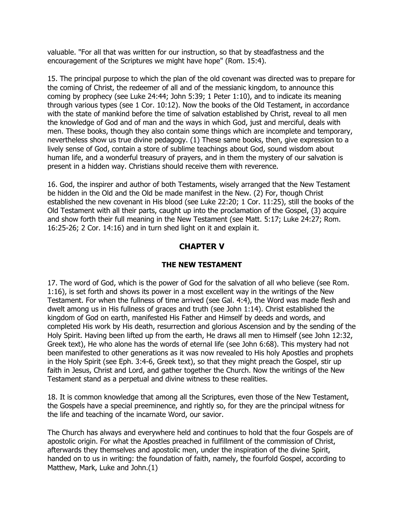valuable. "For all that was written for our instruction, so that by steadfastness and the encouragement of the Scriptures we might have hope" (Rom. 15:4).

15. The principal purpose to which the plan of the old covenant was directed was to prepare for the coming of Christ, the redeemer of all and of the messianic kingdom, to announce this coming by prophecy (see Luke 24:44; John 5:39; 1 Peter 1:10), and to indicate its meaning through various types (see 1 Cor. 10:12). Now the books of the Old Testament, in accordance with the state of mankind before the time of salvation established by Christ, reveal to all men the knowledge of God and of man and the ways in which God, just and merciful, deals with men. These books, though they also contain some things which are incomplete and temporary, nevertheless show us true divine pedagogy. (1) These same books, then, give expression to a lively sense of God, contain a store of sublime teachings about God, sound wisdom about human life, and a wonderful treasury of prayers, and in them the mystery of our salvation is present in a hidden way. Christians should receive them with reverence.

16. God, the inspirer and author of both Testaments, wisely arranged that the New Testament be hidden in the Old and the Old be made manifest in the New. (2) For, though Christ established the new covenant in His blood (see Luke 22:20; 1 Cor. 11:25), still the books of the Old Testament with all their parts, caught up into the proclamation of the Gospel, (3) acquire and show forth their full meaning in the New Testament (see Matt. 5:17; Luke 24:27; Rom. 16:25-26; 2 Cor. 14:16) and in turn shed light on it and explain it.

# **CHAPTER V**

## **THE NEW TESTAMENT**

17. The word of God, which is the power of God for the salvation of all who believe (see Rom. 1:16), is set forth and shows its power in a most excellent way in the writings of the New Testament. For when the fullness of time arrived (see Gal. 4:4), the Word was made flesh and dwelt among us in His fullness of graces and truth (see John 1:14). Christ established the kingdom of God on earth, manifested His Father and Himself by deeds and words, and completed His work by His death, resurrection and glorious Ascension and by the sending of the Holy Spirit. Having been lifted up from the earth, He draws all men to Himself (see John 12:32, Greek text), He who alone has the words of eternal life (see John 6:68). This mystery had not been manifested to other generations as it was now revealed to His holy Apostles and prophets in the Holy Spirit (see Eph. 3:4-6, Greek text), so that they might preach the Gospel, stir up faith in Jesus, Christ and Lord, and gather together the Church. Now the writings of the New Testament stand as a perpetual and divine witness to these realities.

18. It is common knowledge that among all the Scriptures, even those of the New Testament, the Gospels have a special preeminence, and rightly so, for they are the principal witness for the life and teaching of the incarnate Word, our savior.

The Church has always and everywhere held and continues to hold that the four Gospels are of apostolic origin. For what the Apostles preached in fulfillment of the commission of Christ, afterwards they themselves and apostolic men, under the inspiration of the divine Spirit, handed on to us in writing: the foundation of faith, namely, the fourfold Gospel, according to Matthew, Mark, Luke and John.(1)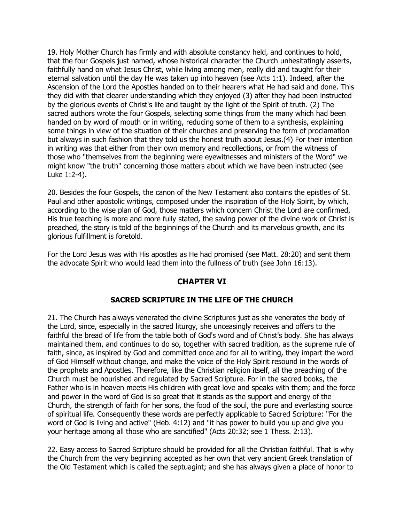19. Holy Mother Church has firmly and with absolute constancy held, and continues to hold, that the four Gospels just named, whose historical character the Church unhesitatingly asserts, faithfully hand on what Jesus Christ, while living among men, really did and taught for their eternal salvation until the day He was taken up into heaven (see Acts 1:1). Indeed, after the Ascension of the Lord the Apostles handed on to their hearers what He had said and done. This they did with that clearer understanding which they enjoyed (3) after they had been instructed by the glorious events of Christ's life and taught by the light of the Spirit of truth. (2) The sacred authors wrote the four Gospels, selecting some things from the many which had been handed on by word of mouth or in writing, reducing some of them to a synthesis, explaining some things in view of the situation of their churches and preserving the form of proclamation but always in such fashion that they told us the honest truth about Jesus.(4) For their intention in writing was that either from their own memory and recollections, or from the witness of those who "themselves from the beginning were eyewitnesses and ministers of the Word" we might know "the truth" concerning those matters about which we have been instructed (see Luke 1:2-4).

20. Besides the four Gospels, the canon of the New Testament also contains the epistles of St. Paul and other apostolic writings, composed under the inspiration of the Holy Spirit, by which, according to the wise plan of God, those matters which concern Christ the Lord are confirmed, His true teaching is more and more fully stated, the saving power of the divine work of Christ is preached, the story is told of the beginnings of the Church and its marvelous growth, and its glorious fulfillment is foretold.

For the Lord Jesus was with His apostles as He had promised (see Matt. 28:20) and sent them the advocate Spirit who would lead them into the fullness of truth (see John 16:13).

### **CHAPTER VI**

### **SACRED SCRIPTURE IN THE LIFE OF THE CHURCH**

21. The Church has always venerated the divine Scriptures just as she venerates the body of the Lord, since, especially in the sacred liturgy, she unceasingly receives and offers to the faithful the bread of life from the table both of God's word and of Christ's body. She has always maintained them, and continues to do so, together with sacred tradition, as the supreme rule of faith, since, as inspired by God and committed once and for all to writing, they impart the word of God Himself without change, and make the voice of the Holy Spirit resound in the words of the prophets and Apostles. Therefore, like the Christian religion itself, all the preaching of the Church must be nourished and regulated by Sacred Scripture. For in the sacred books, the Father who is in heaven meets His children with great love and speaks with them; and the force and power in the word of God is so great that it stands as the support and energy of the Church, the strength of faith for her sons, the food of the soul, the pure and everlasting source of spiritual life. Consequently these words are perfectly applicable to Sacred Scripture: "For the word of God is living and active" (Heb. 4:12) and "it has power to build you up and give you your heritage among all those who are sanctified" (Acts 20:32; see 1 Thess. 2:13).

22. Easy access to Sacred Scripture should be provided for all the Christian faithful. That is why the Church from the very beginning accepted as her own that very ancient Greek translation of the Old Testament which is called the septuagint; and she has always given a place of honor to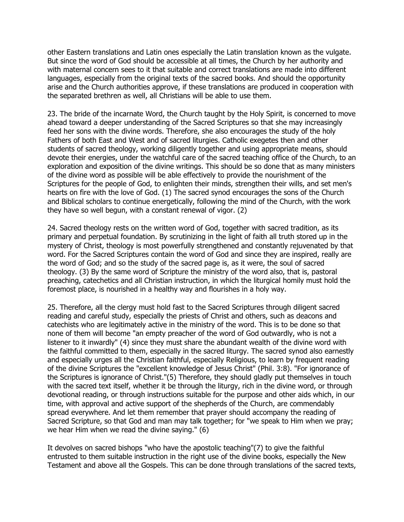other Eastern translations and Latin ones especially the Latin translation known as the vulgate. But since the word of God should be accessible at all times, the Church by her authority and with maternal concern sees to it that suitable and correct translations are made into different languages, especially from the original texts of the sacred books. And should the opportunity arise and the Church authorities approve, if these translations are produced in cooperation with the separated brethren as well, all Christians will be able to use them.

23. The bride of the incarnate Word, the Church taught by the Holy Spirit, is concerned to move ahead toward a deeper understanding of the Sacred Scriptures so that she may increasingly feed her sons with the divine words. Therefore, she also encourages the study of the holy Fathers of both East and West and of sacred liturgies. Catholic exegetes then and other students of sacred theology, working diligently together and using appropriate means, should devote their energies, under the watchful care of the sacred teaching office of the Church, to an exploration and exposition of the divine writings. This should be so done that as many ministers of the divine word as possible will be able effectively to provide the nourishment of the Scriptures for the people of God, to enlighten their minds, strengthen their wills, and set men's hearts on fire with the love of God. (1) The sacred synod encourages the sons of the Church and Biblical scholars to continue energetically, following the mind of the Church, with the work they have so well begun, with a constant renewal of vigor. (2)

24. Sacred theology rests on the written word of God, together with sacred tradition, as its primary and perpetual foundation. By scrutinizing in the light of faith all truth stored up in the mystery of Christ, theology is most powerfully strengthened and constantly rejuvenated by that word. For the Sacred Scriptures contain the word of God and since they are inspired, really are the word of God; and so the study of the sacred page is, as it were, the soul of sacred theology. (3) By the same word of Scripture the ministry of the word also, that is, pastoral preaching, catechetics and all Christian instruction, in which the liturgical homily must hold the foremost place, is nourished in a healthy way and flourishes in a holy way.

25. Therefore, all the clergy must hold fast to the Sacred Scriptures through diligent sacred reading and careful study, especially the priests of Christ and others, such as deacons and catechists who are legitimately active in the ministry of the word. This is to be done so that none of them will become "an empty preacher of the word of God outwardly, who is not a listener to it inwardly" (4) since they must share the abundant wealth of the divine word with the faithful committed to them, especially in the sacred liturgy. The sacred synod also earnestly and especially urges all the Christian faithful, especially Religious, to learn by frequent reading of the divine Scriptures the "excellent knowledge of Jesus Christ" (Phil. 3:8). "For ignorance of the Scriptures is ignorance of Christ."(5) Therefore, they should gladly put themselves in touch with the sacred text itself, whether it be through the liturgy, rich in the divine word, or through devotional reading, or through instructions suitable for the purpose and other aids which, in our time, with approval and active support of the shepherds of the Church, are commendably spread everywhere. And let them remember that prayer should accompany the reading of Sacred Scripture, so that God and man may talk together; for "we speak to Him when we pray; we hear Him when we read the divine saying." (6)

It devolves on sacred bishops "who have the apostolic teaching"(7) to give the faithful entrusted to them suitable instruction in the right use of the divine books, especially the New Testament and above all the Gospels. This can be done through translations of the sacred texts,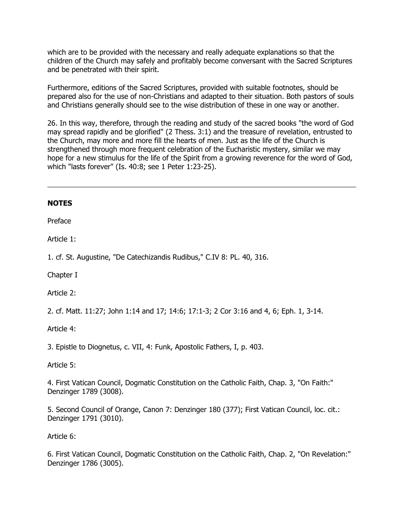which are to be provided with the necessary and really adequate explanations so that the children of the Church may safely and profitably become conversant with the Sacred Scriptures and be penetrated with their spirit.

Furthermore, editions of the Sacred Scriptures, provided with suitable footnotes, should be prepared also for the use of non-Christians and adapted to their situation. Both pastors of souls and Christians generally should see to the wise distribution of these in one way or another.

26. In this way, therefore, through the reading and study of the sacred books "the word of God may spread rapidly and be glorified" (2 Thess. 3:1) and the treasure of revelation, entrusted to the Church, may more and more fill the hearts of men. Just as the life of the Church is strengthened through more frequent celebration of the Eucharistic mystery, similar we may hope for a new stimulus for the life of the Spirit from a growing reverence for the word of God, which "lasts forever" (Is. 40:8; see 1 Peter 1:23-25).

#### **NOTES**

Preface

Article 1:

1. cf. St. Augustine, "De Catechizandis Rudibus," C.IV 8: PL. 40, 316.

Chapter I

Article 2:

2. cf. Matt. 11:27; John 1:14 and 17; 14:6; 17:1-3; 2 Cor 3:16 and 4, 6; Eph. 1, 3-14.

Article 4:

3. Epistle to Diognetus, c. VII, 4: Funk, Apostolic Fathers, I, p. 403.

Article 5:

4. First Vatican Council, Dogmatic Constitution on the Catholic Faith, Chap. 3, "On Faith:" Denzinger 1789 (3008).

5. Second Council of Orange, Canon 7: Denzinger 180 (377); First Vatican Council, loc. cit.: Denzinger 1791 (3010).

Article 6:

6. First Vatican Council, Dogmatic Constitution on the Catholic Faith, Chap. 2, "On Revelation:" Denzinger 1786 (3005).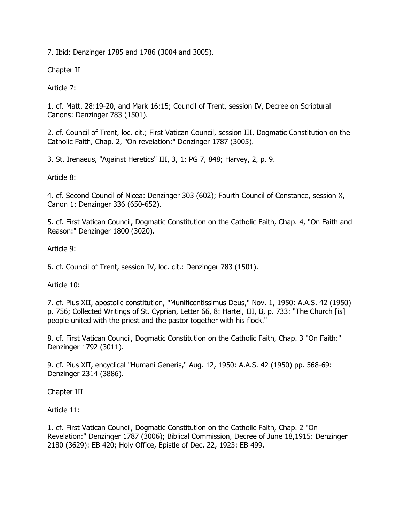7. Ibid: Denzinger 1785 and 1786 (3004 and 3005).

Chapter II

Article 7:

1. cf. Matt. 28:19-20, and Mark 16:15; Council of Trent, session IV, Decree on Scriptural Canons: Denzinger 783 (1501).

2. cf. Council of Trent, loc. cit.; First Vatican Council, session III, Dogmatic Constitution on the Catholic Faith, Chap. 2, "On revelation:" Denzinger 1787 (3005).

3. St. Irenaeus, "Against Heretics" III, 3, 1: PG 7, 848; Harvey, 2, p. 9.

Article 8:

4. cf. Second Council of Nicea: Denzinger 303 (602); Fourth Council of Constance, session X, Canon 1: Denzinger 336 (650-652).

5. cf. First Vatican Council, Dogmatic Constitution on the Catholic Faith, Chap. 4, "On Faith and Reason:" Denzinger 1800 (3020).

Article 9:

6. cf. Council of Trent, session IV, loc. cit.: Denzinger 783 (1501).

Article 10:

7. cf. Pius XII, apostolic constitution, "Munificentissimus Deus," Nov. 1, 1950: A.A.S. 42 (1950) p. 756; Collected Writings of St. Cyprian, Letter 66, 8: Hartel, III, B, p. 733: "The Church [is] people united with the priest and the pastor together with his flock."

8. cf. First Vatican Council, Dogmatic Constitution on the Catholic Faith, Chap. 3 "On Faith:" Denzinger 1792 (3011).

9. cf. Pius XII, encyclical "Humani Generis," Aug. 12, 1950: A.A.S. 42 (1950) pp. 568-69: Denzinger 2314 (3886).

Chapter III

Article 11:

1. cf. First Vatican Council, Dogmatic Constitution on the Catholic Faith, Chap. 2 "On Revelation:" Denzinger 1787 (3006); Biblical Commission, Decree of June 18,1915: Denzinger 2180 (3629): EB 420; Holy Office, Epistle of Dec. 22, 1923: EB 499.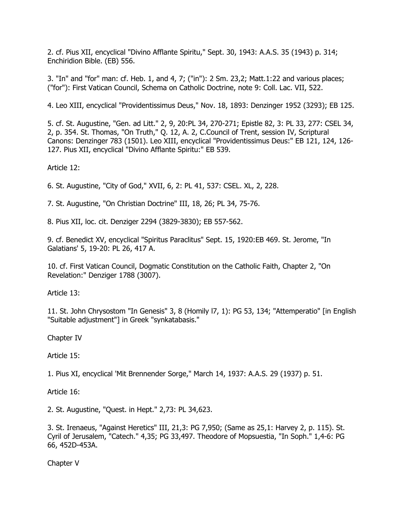2. cf. Pius XII, encyclical "Divino Afflante Spiritu," Sept. 30, 1943: A.A.S. 35 (1943) p. 314; Enchiridion Bible. (EB) 556.

3. "In" and "for" man: cf. Heb. 1, and 4, 7; ("in"): 2 Sm. 23,2; Matt.1:22 and various places; ("for"): First Vatican Council, Schema on Catholic Doctrine, note 9: Coll. Lac. VII, 522.

4. Leo XIII, encyclical "Providentissimus Deus," Nov. 18, 1893: Denzinger 1952 (3293); EB 125.

5. cf. St. Augustine, "Gen. ad Litt." 2, 9, 20:PL 34, 270-271; Epistle 82, 3: PL 33, 277: CSEL 34, 2, p. 354. St. Thomas, "On Truth," Q. 12, A. 2, C.Council of Trent, session IV, Scriptural Canons: Denzinger 783 (1501). Leo XIII, encyclical "Providentissimus Deus:" EB 121, 124, 126- 127. Pius XII, encyclical "Divino Afflante Spiritu:" EB 539.

Article 12:

6. St. Augustine, "City of God," XVII, 6, 2: PL 41, 537: CSEL. XL, 2, 228.

7. St. Augustine, "On Christian Doctrine" III, 18, 26; PL 34, 75-76.

8. Pius XII, loc. cit. Denziger 2294 (3829-3830); EB 557-562.

9. cf. Benedict XV, encyclical "Spiritus Paraclitus" Sept. 15, 1920:EB 469. St. Jerome, "In Galatians' 5, 19-20: PL 26, 417 A.

10. cf. First Vatican Council, Dogmatic Constitution on the Catholic Faith, Chapter 2, "On Revelation:" Denziger 1788 (3007).

Article 13:

11. St. John Chrysostom "In Genesis" 3, 8 (Homily l7, 1): PG 53, 134; "Attemperatio" [in English "Suitable adjustment"] in Greek "synkatabasis."

Chapter IV

Article 15:

1. Pius XI, encyclical 'Mit Brennender Sorge," March 14, 1937: A.A.S. 29 (1937) p. 51.

Article 16:

2. St. Augustine, "Quest. in Hept." 2,73: PL 34,623.

3. St. Irenaeus, "Against Heretics" III, 21,3: PG 7,950; (Same as 25,1: Harvey 2, p. 115). St. Cyril of Jerusalem, "Catech." 4,35; PG 33,497. Theodore of Mopsuestia, "In Soph." 1,4-6: PG 66, 452D-453A.

Chapter V